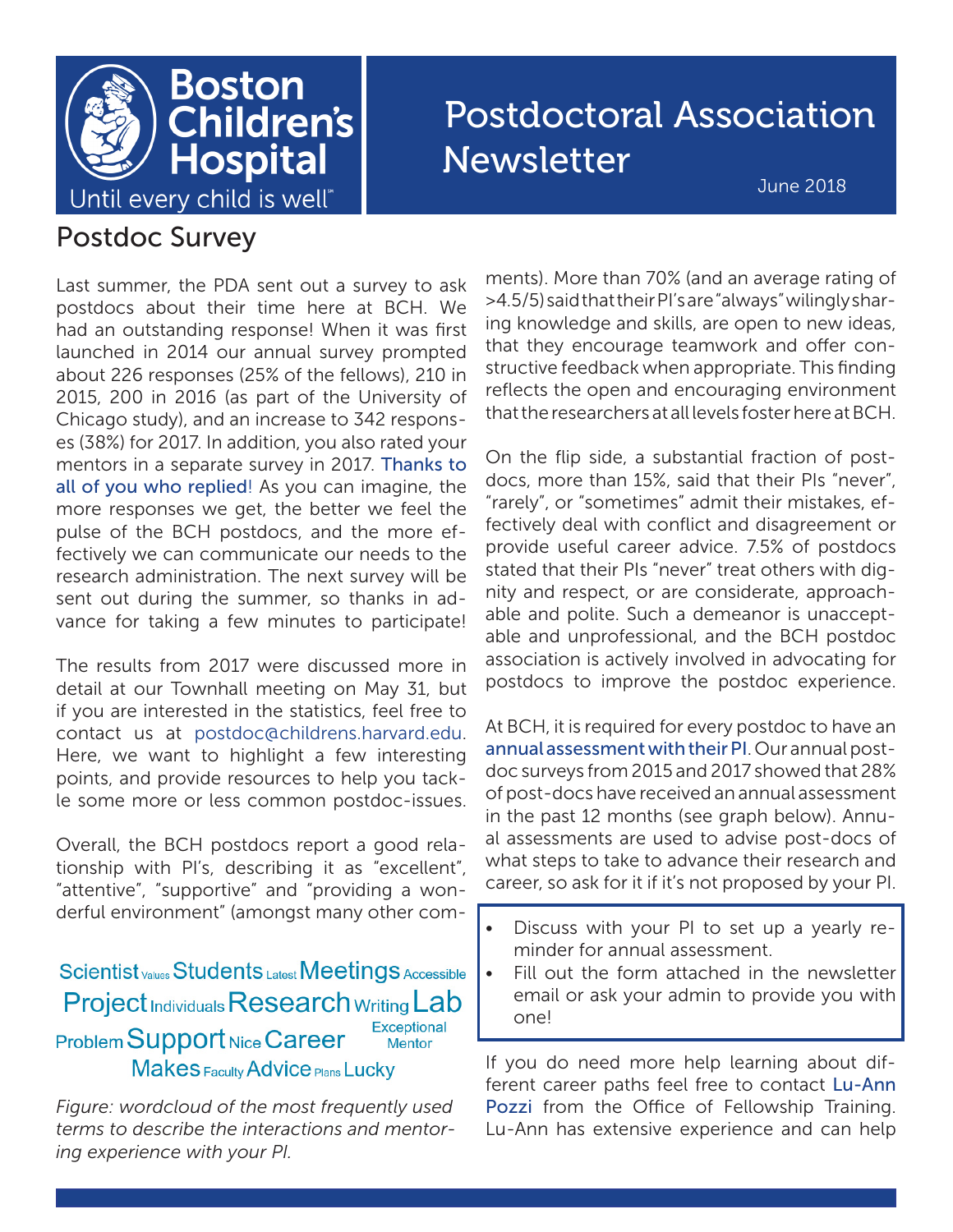

# Postdoctoral Association Newsletter

June 2018

### Postdoc Survey

Last summer, the PDA sent out a survey to ask postdocs about their time here at BCH. We had an outstanding response! When it was first launched in 2014 our annual survey prompted about 226 responses (25% of the fellows), 210 in 2015, 200 in 2016 (as part of the University of Chicago study), and an increase to 342 responses (38%) for 2017. In addition, you also rated your mentors in a separate survey in 2017. Thanks to all of you who replied! As you can imagine, the more responses we get, the better we feel the pulse of the BCH postdocs, and the more effectively we can communicate our needs to the research administration. The next survey will be sent out during the summer, so thanks in advance for taking a few minutes to participate!

The results from 2017 were discussed more in detail at our Townhall meeting on May 31, but if you are interested in the statistics, feel free to contact us at postdoc@childrens.harvard.edu. Here, we want to highlight a few interesting points, and provide resources to help you tackle some more or less common postdoc-issues.

Overall, the BCH postdocs report a good relationship with PI's, describing it as "excellent", "attentive", "supportive" and "providing a wonderful environment" (amongst many other com-

Scientist <sub>Values</sub> Students Latest Meetings Accessible **Project Individuals Research Writing Lab** Exceptional Problem Support Nice Career **Mentor Makes Faculty Advice Plans Lucky** 

*Figure: wordcloud of the most frequently used terms to describe the interactions and mentoring experience with your PI.*

ments). More than 70% (and an average rating of >4.5/5) said that their PI's are "always" wilingly sharing knowledge and skills, are open to new ideas, that they encourage teamwork and offer constructive feedback when appropriate. This finding reflects the open and encouraging environment that the researchers at all levels foster here at BCH.

On the flip side, a substantial fraction of postdocs, more than 15%, said that their PIs "never", "rarely", or "sometimes" admit their mistakes, effectively deal with conflict and disagreement or provide useful career advice. 7.5% of postdocs stated that their PIs "never" treat others with dignity and respect, or are considerate, approachable and polite. Such a demeanor is unacceptable and unprofessional, and the BCH postdoc association is actively involved in advocating for postdocs to improve the postdoc experience.

At BCH, it is required for every postdoc to have an annual assessment with their PI. Our annual postdoc surveys from 2015 and 2017 showed that 28% of post-docs have received an annual assessment in the past 12 months (see graph below). Annual assessments are used to advise post-docs of what steps to take to advance their research and career, so ask for it if it's not proposed by your PI.

- Discuss with your PI to set up a yearly reminder for annual assessment.
- Fill out the form attached in the newsletter email or ask your admin to provide you with one!

If you do need more help learning about different career paths feel free to contact Lu-Ann Pozzi from the Office of Fellowship Training. Lu-Ann has extensive experience and can help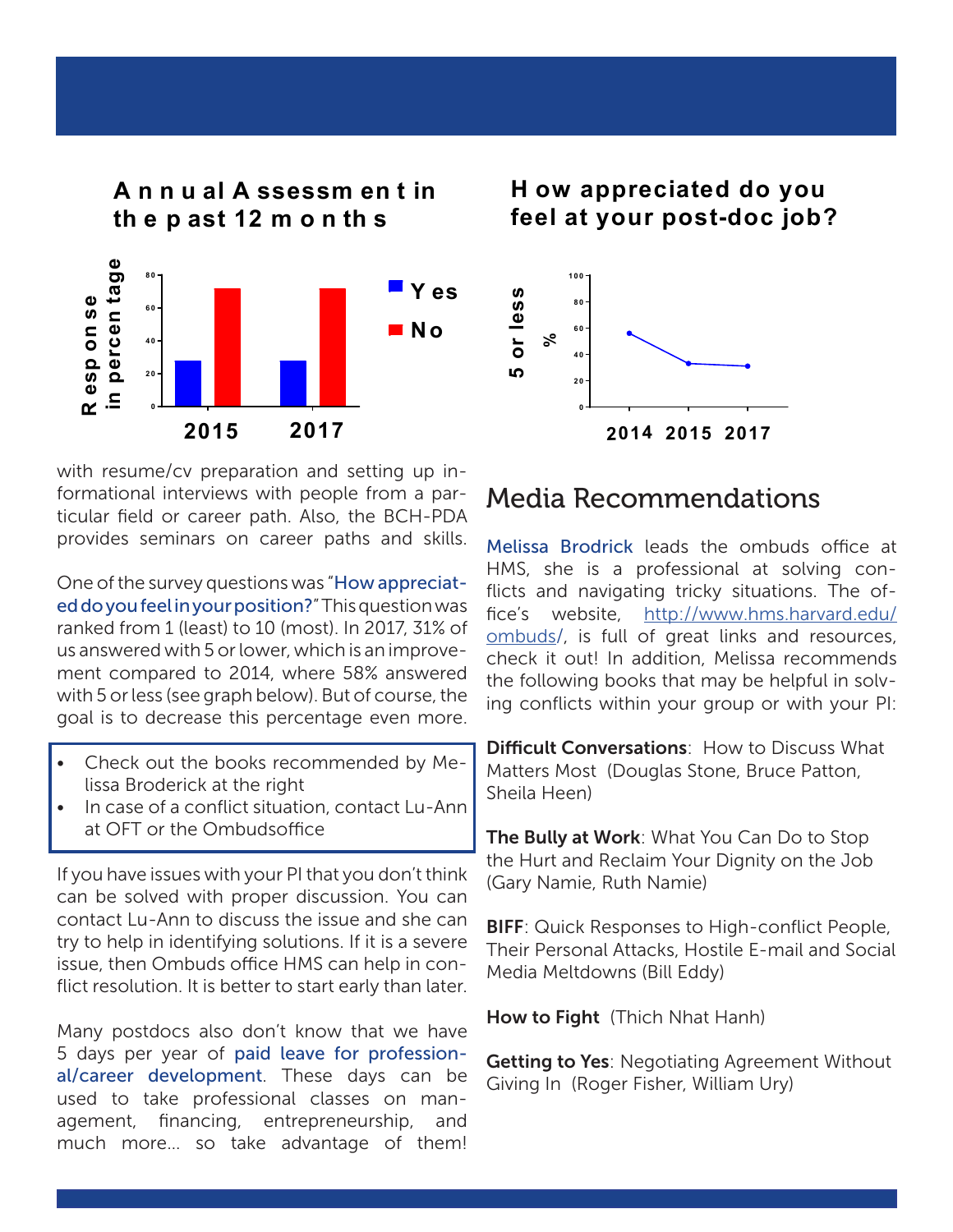

with resume/cv preparation and setting up informational interviews with people from a particular field or career path. Also, the BCH-PDA provides seminars on career paths and skills.

One of the survey questions was "How appreciated do you feel in your position?" This question was ranked from 1 (least) to 10 (most). In 2017, 31% of us answered with 5 or lower, which is an improvement compared to 2014, where 58% answered with 5 or less (see graph below). But of course, the goal is to decrease this percentage even more.

- Check out the books recommended by Melissa Broderick at the right
- In case of a conflict situation, contact Lu-Ann at OFT or the Ombudsoffice

If you have issues with your PI that you don't think can be solved with proper discussion. You can contact Lu-Ann to discuss the issue and she can try to help in identifying solutions. If it is a severe issue, then Ombuds office HMS can help in conflict resolution. It is better to start early than later.

Many postdocs also don't know that we have 5 days per year of paid leave for professional/career development. These days can be used to take professional classes on management, financing, entrepreneurship, and much more… so take advantage of them!

**H ow appreciated do you H ow appreciated do you feel at your post-doc job? feel at your post-doc job?**



### Media Recommendations

Melissa Brodrick leads the ombuds office at HMS, she is a professional at solving conflicts and navigating tricky situations. The office's website, [http://www.hms.harvard.edu/](http://www.hms.harvard.edu/ombuds) [ombuds](http://www.hms.harvard.edu/ombuds)/, is full of great links and resources, check it out! In addition, Melissa recommends the following books that may be helpful in solving conflicts within your group or with your PI:

**Difficult Conversations:** How to Discuss What Matters Most (Douglas Stone, Bruce Patton, Sheila Heen)

The Bully at Work: What You Can Do to Stop the Hurt and Reclaim Your Dignity on the Job (Gary Namie, Ruth Namie)

**BIFF:** Quick Responses to High-conflict People, Their Personal Attacks, Hostile E-mail and Social Media Meltdowns (Bill Eddy)

How to Fight (Thich Nhat Hanh)

**Getting to Yes: Negotiating Agreement Without** Giving In (Roger Fisher, William Ury)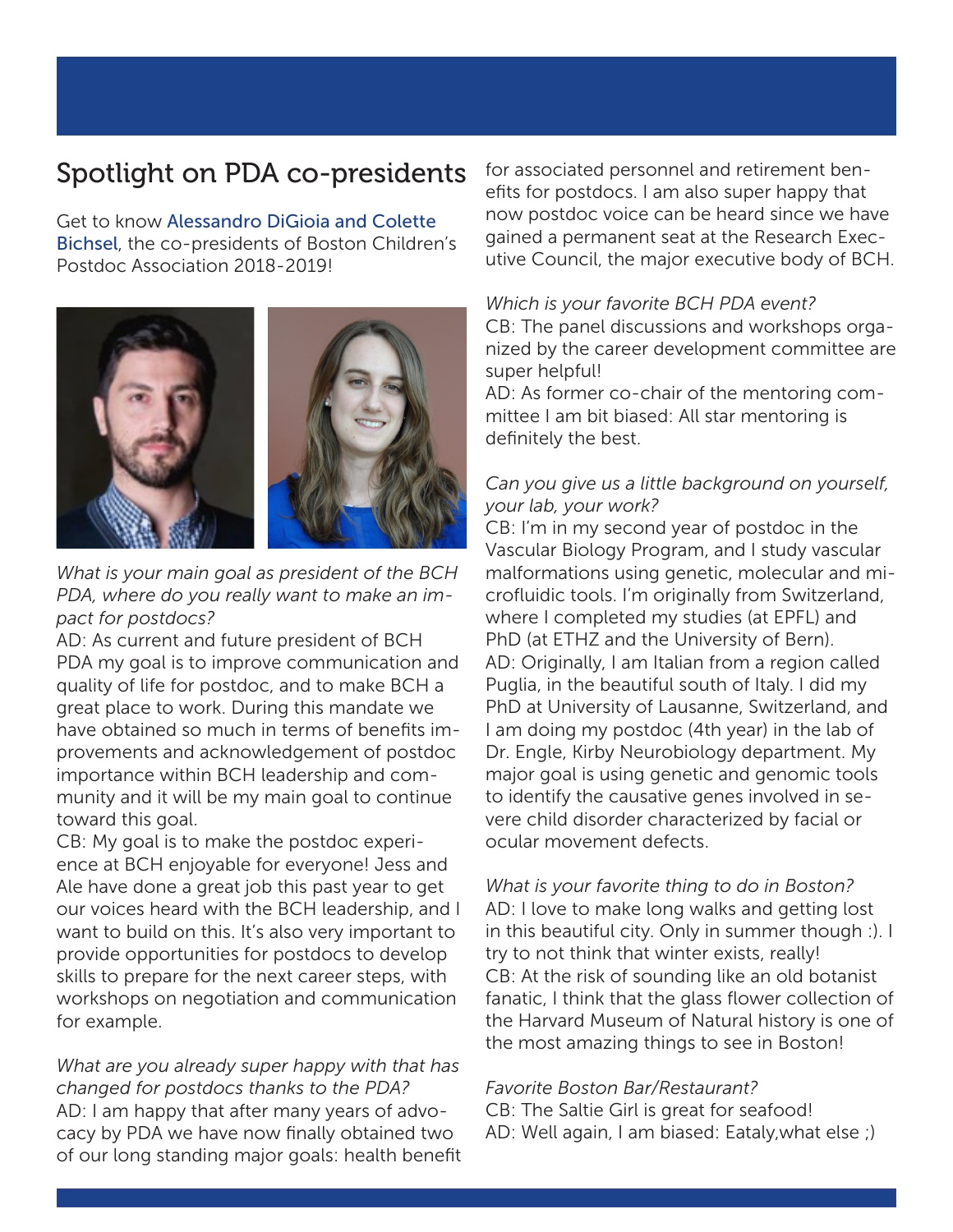### Spotlight on PDA co-presidents

Get to know Alessandro DiGioia and Colette Bichsel, the co-presidents of Boston Children's Postdoc Association 2018-2019!



*What is your main goal as president of the BCH PDA, where do you really want to make an impact for postdocs?*

AD: As current and future president of BCH PDA my goal is to improve communication and quality of life for postdoc, and to make BCH a great place to work. During this mandate we have obtained so much in terms of benefits improvements and acknowledgement of postdoc importance within BCH leadership and community and it will be my main goal to continue toward this goal.

CB: My goal is to make the postdoc experience at BCH enjoyable for everyone! Jess and Ale have done a great job this past year to get our voices heard with the BCH leadership, and I want to build on this. It's also very important to provide opportunities for postdocs to develop skills to prepare for the next career steps, with workshops on negotiation and communication for example.

*What are you already super happy with that has changed for postdocs thanks to the PDA?* AD: I am happy that after many years of advocacy by PDA we have now finally obtained two of our long standing major goals: health benefit for associated personnel and retirement benefits for postdocs. I am also super happy that now postdoc voice can be heard since we have gained a permanent seat at the Research Executive Council, the major executive body of BCH.

#### *Which is your favorite BCH PDA event?*

CB: The panel discussions and workshops organized by the career development committee are super helpful!

AD: As former co-chair of the mentoring committee I am bit biased: All star mentoring is definitely the best.

### *Can you give us a little background on yourself, your lab, your work?*

CB: I'm in my second year of postdoc in the Vascular Biology Program, and I study vascular malformations using genetic, molecular and microfluidic tools. I'm originally from Switzerland, where I completed my studies (at EPFL) and PhD (at ETHZ and the University of Bern). AD: Originally, I am Italian from a region called Puglia, in the beautiful south of Italy. I did my PhD at University of Lausanne, Switzerland, and I am doing my postdoc (4th year) in the lab of Dr. Engle, Kirby Neurobiology department. My major goal is using genetic and genomic tools to identify the causative genes involved in severe child disorder characterized by facial or ocular movement defects.

*What is your favorite thing to do in Boston?* AD: I love to make long walks and getting lost in this beautiful city. Only in summer though :). I try to not think that winter exists, really! CB: At the risk of sounding like an old botanist fanatic, I think that the glass flower collection of the Harvard Museum of Natural history is one of the most amazing things to see in Boston!

#### *Favorite Boston Bar/Restaurant?*

CB: The Saltie Girl is great for seafood! AD: Well again, I am biased: Eataly,what else ;)